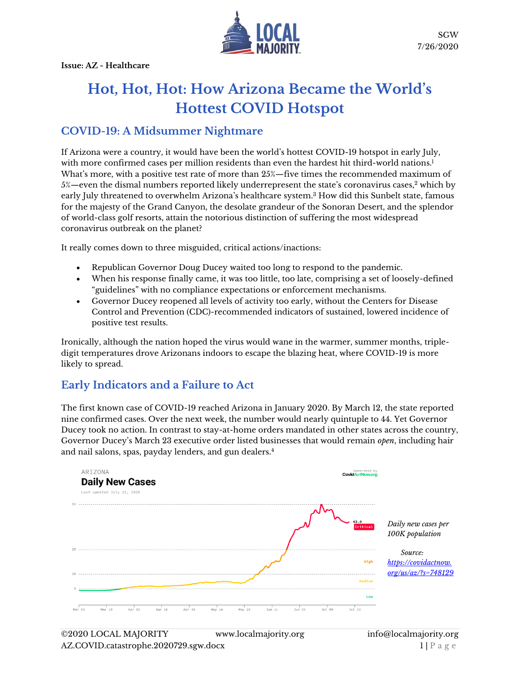

# **Hot, Hot, Hot: How Arizona Became the World's Hottest COVID Hotspot**

#### **COVID-19: A Midsummer Nightmare**

If Arizona were a country, it would have been the world's hottest COVID-19 hotspot in early July, with more confirmed cases per million residents than even the hardest hit third-world nations.<sup>1</sup> What's more, with a positive test rate of more than 25%—five times the recommended maximum of  $5%$ —even the dismal numbers reported likely underrepresent the state's coronavirus cases,<sup>2</sup> which by early July threatened to overwhelm Arizona's healthcare system.<sup>3</sup> How did this Sunbelt state, famous for the majesty of the Grand Canyon, the desolate grandeur of the Sonoran Desert, and the splendor of world-class golf resorts, attain the notorious distinction of suffering the most widespread coronavirus outbreak on the planet?

It really comes down to three misguided, critical actions/inactions:

- Republican Governor Doug Ducey waited too long to respond to the pandemic.
- When his response finally came, it was too little, too late, comprising a set of loosely-defined "guidelines" with no compliance expectations or enforcement mechanisms.
- Governor Ducey reopened all levels of activity too early, without the Centers for Disease Control and Prevention (CDC)-recommended indicators of sustained, lowered incidence of positive test results.

Ironically, although the nation hoped the virus would wane in the warmer, summer months, tripledigit temperatures drove Arizonans indoors to escape the blazing heat, where COVID-19 is more likely to spread.

## **Early Indicators and a Failure to Act**

The first known case of COVID-19 reached Arizona in January 2020. By March 12, the state reported nine confirmed cases. Over the next week, the number would nearly quintuple to 44. Yet Governor Ducey took no action. In contrast to stay-at-home orders mandated in other states across the country, Governor Ducey's March 23 executive order listed businesses that would remain *open*, including hair and nail salons, spas, payday lenders, and gun dealers.<sup>4</sup>

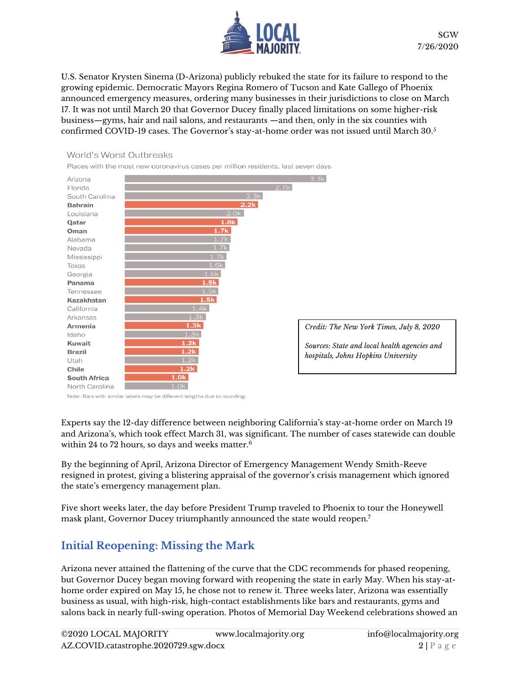

U.S. Senator Krysten Sinema (D-Arizona) publicly rebuked the state for its failure to respond to the growing epidemic. Democratic Mayors Regina Romero of Tucson and Kate Gallego of Phoenix announced emergency measures, ordering many businesses in their jurisdictions to close on March 17. It was not until March 20 that Governor Ducey finally placed limitations on some higher-risk business—gyms, hair and nail salons, and restaurants —and then, only in the six counties with confirmed COVID-19 cases. The Governor's stay-at-home order was not issued until March 30.<sup>5</sup>

#### World's Worst Outbreaks

Places with the most new coronavirus cases per million residents, last seven days



Note: Bars with similar labels may be different lengths due to rounding

Experts say the 12-day difference between neighboring California's stay-at-home order on March 19 and Arizona's, which took effect March 31, was significant. The number of cases statewide can double within 24 to 72 hours, so days and weeks matter.<sup>6</sup>

By the beginning of April, Arizona Director of Emergency Management Wendy Smith-Reeve resigned in protest, giving a blistering appraisal of the governor's crisis management which ignored the state's emergency management plan.

Five short weeks later, the day before President Trump traveled to Phoenix to tour the Honeywell mask plant, Governor Ducey triumphantly announced the state would reopen.<sup>7</sup>

## **Initial Reopening: Missing the Mark**

Arizona never attained the flattening of the curve that the CDC recommends for phased reopening, but Governor Ducey began moving forward with reopening the state in early May. When his stay-athome order expired on May 15, he chose not to renew it. Three weeks later, Arizona was essentially business as usual, with high-risk, high-contact establishments like bars and restaurants, gyms and salons back in nearly full-swing operation. Photos of Memorial Day Weekend celebrations showed an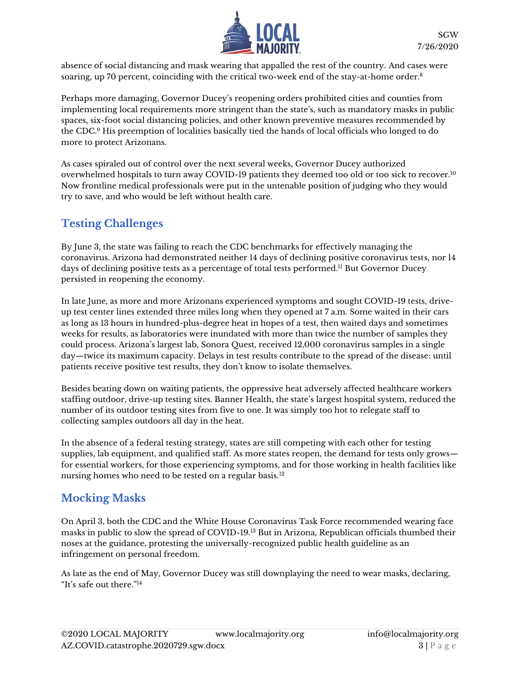

absence of social distancing and mask wearing that appalled the rest of the country. And cases were soaring, up 70 percent, coinciding with the critical two-week end of the stay-at-home order.<sup>8</sup>

Perhaps more damaging, Governor Ducey's reopening orders prohibited cities and counties from implementing local requirements more stringent than the state's, such as mandatory masks in public spaces, six-foot social distancing policies, and other known preventive measures recommended by the CDC.<sup>9</sup> His preemption of localities basically tied the hands of local officials who longed to do more to protect Arizonans.

As cases spiraled out of control over the next several weeks, Governor Ducey authorized overwhelmed hospitals to turn away COVID-19 patients they deemed too old or too sick to recover.<sup>10</sup> Now frontline medical professionals were put in the untenable position of judging who they would try to save, and who would be left without health care.

# **Testing Challenges**

By June 3, the state was failing to reach the CDC benchmarks for effectively managing the coronavirus. Arizona had demonstrated neither 14 days of declining positive coronavirus tests, nor 14 days of declining positive tests as a percentage of total tests performed.<sup>11</sup> But Governor Ducey persisted in reopening the economy.

In late June, as more and more Arizonans experienced symptoms and sought COVID-19 tests, driveup test center lines extended three miles long when they opened at 7 a.m. Some waited in their cars as long as 13 hours in hundred-plus-degree heat in hopes of a test, then waited days and sometimes weeks for results, as laboratories were inundated with more than twice the number of samples they could process. Arizona's largest lab, Sonora Quest, received 12,000 coronavirus samples in a single day—twice its maximum capacity. Delays in test results contribute to the spread of the disease: until patients receive positive test results, they don't know to isolate themselves.

Besides beating down on waiting patients, the oppressive heat adversely affected healthcare workers staffing outdoor, drive-up testing sites. Banner Health, the state's largest hospital system, reduced the number of its outdoor testing sites from five to one. It was simply too hot to relegate staff to collecting samples outdoors all day in the heat.

In the absence of a federal testing strategy, states are still competing with each other for testing supplies, lab equipment, and qualified staff. As more states reopen, the demand for tests only grows for essential workers, for those experiencing symptoms, and for those working in health facilities like nursing homes who need to be tested on a regular basis.<sup>12</sup>

## **Mocking Masks**

On April 3, both the CDC and the White House Coronavirus Task Force recommended wearing face masks in public to slow the spread of COVID-19.<sup>13</sup> But in Arizona, Republican officials thumbed their noses at the guidance, protesting the universally-recognized public health guideline as an infringement on personal freedom.

As late as the end of May, Governor Ducey was still downplaying the need to wear masks, declaring, "It's safe out there."14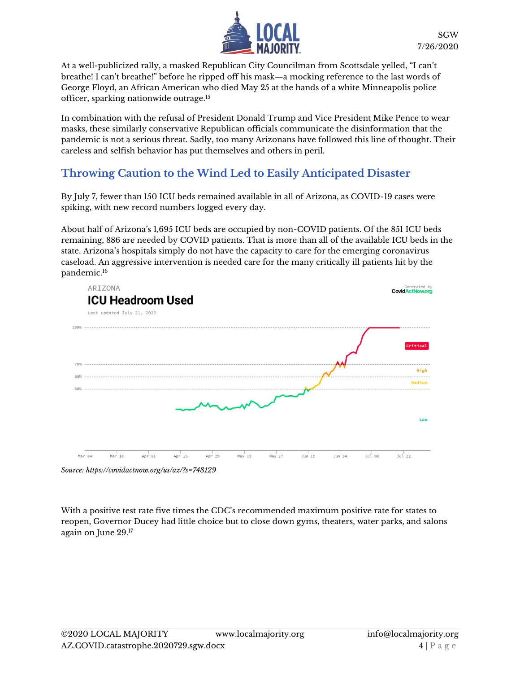

At a well-publicized rally, a masked Republican City Councilman from Scottsdale yelled, "I can't breathe! I can't breathe!" before he ripped off his mask—a mocking reference to the last words of George Floyd, an African American who died May 25 at the hands of a white Minneapolis police officer, sparking nationwide outrage. 15

In combination with the refusal of President Donald Trump and Vice President Mike Pence to wear masks, these similarly conservative Republican officials communicate the disinformation that the pandemic is not a serious threat. Sadly, too many Arizonans have followed this line of thought. Their careless and selfish behavior has put themselves and others in peril.

## **Throwing Caution to the Wind Led to Easily Anticipated Disaster**

By July 7, fewer than 150 ICU beds remained available in all of Arizona, as COVID-19 cases were spiking, with new record numbers logged every day.

About half of Arizona's 1,695 ICU beds are occupied by non-COVID patients. Of the 851 ICU beds remaining, 886 are needed by COVID patients. That is more than all of the available ICU beds in the state. Arizona's hospitals simply do not have the capacity to care for the emerging coronavirus caseload. An aggressive intervention is needed care for the many critically ill patients hit by the pandemic.<sup>16</sup>



*Source: https://covidactnow.org/us/az/?s=748129*

With a positive test rate five times the CDC's recommended maximum positive rate for states to reopen, Governor Ducey had little choice but to close down gyms, theaters, water parks, and salons again on June 29. 17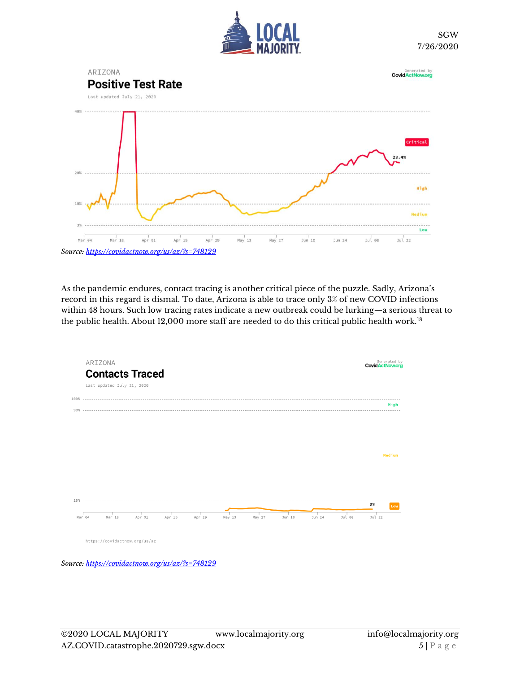



As the pandemic endures, contact tracing is another critical piece of the puzzle. Sadly, Arizona's record in this regard is dismal. To date, Arizona is able to trace only 3% of new COVID infections within 48 hours. Such low tracing rates indicate a new outbreak could be lurking—a serious threat to the public health. About 12,000 more staff are needed to do this critical public health work.<sup>18</sup>



*Source[: https://covidactnow.org/us/az/?s=748129](https://covidactnow.org/us/az/?s=748129)*